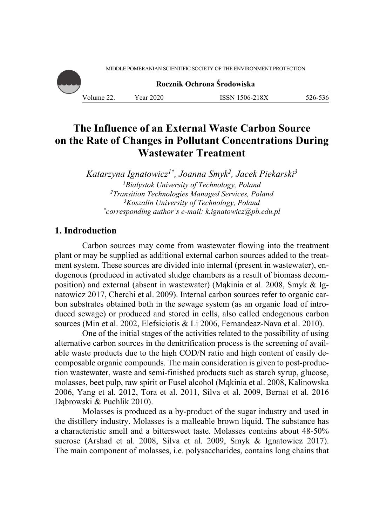MIDDLE POMERANIAN SCIENTIFIC SOCIETY OF THE ENVIRONMENT PROTECTION



# **The Influence of an External Waste Carbon Source on the Rate of Changes in Pollutant Concentrations During Wastewater Treatment**

*Katarzyna Ignatowicz1\*, Joanna Smyk2, Jacek Piekarski3 1 Bialystok University of Technology, Poland 2* <sup>2</sup> Transition Technologies Managed Services, Poland *Koszalin University of Technology, Poland \* corresponding author's e-mail: k.ignatowicz@pb.edu.pl* 

# **1. Indroduction**

Carbon sources may come from wastewater flowing into the treatment plant or may be supplied as additional external carbon sources added to the treatment system. These sources are divided into internal (present in wastewater), endogenous (produced in activated sludge chambers as a result of biomass decomposition) and external (absent in wastewater) (Mąkinia et al. 2008, Smyk & Ignatowicz 2017, Cherchi et al. 2009). Internal carbon sources refer to organic carbon substrates obtained both in the sewage system (as an organic load of introduced sewage) or produced and stored in cells, also called endogenous carbon sources (Min et al. 2002, Elefsiciotis & Li 2006, Fernandeaz-Nava et al. 2010).

One of the initial stages of the activities related to the possibility of using alternative carbon sources in the denitrification process is the screening of available waste products due to the high COD/N ratio and high content of easily decomposable organic compounds. The main consideration is given to post-production wastewater, waste and semi-finished products such as starch syrup, glucose, molasses, beet pulp, raw spirit or Fusel alcohol (Mąkinia et al. 2008, Kalinowska 2006, Yang et al. 2012, Tora et al. 2011, Silva et al. 2009, Bernat et al. 2016 Dąbrowski & Puchlik 2010).

Molasses is produced as a by-product of the sugar industry and used in the distillery industry. Molasses is a malleable brown liquid. The substance has a characteristic smell and a bittersweet taste. Molasses contains about 48-50% sucrose (Arshad et al. 2008, Silva et al. 2009, Smyk & Ignatowicz 2017). The main component of molasses, i.e. polysaccharides, contains long chains that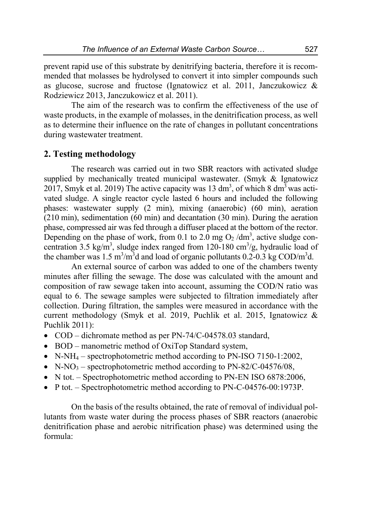prevent rapid use of this substrate by denitrifying bacteria, therefore it is recommended that molasses be hydrolysed to convert it into simpler compounds such as glucose, sucrose and fructose (Ignatowicz et al. 2011, Janczukowicz & Rodziewicz 2013, Janczukowicz et al. 2011).

The aim of the research was to confirm the effectiveness of the use of waste products, in the example of molasses, in the denitrification process, as well as to determine their influence on the rate of changes in pollutant concentrations during wastewater treatment.

## **2. Testing methodology**

The research was carried out in two SBR reactors with activated sludge supplied by mechanically treated municipal wastewater. (Smyk & Ignatowicz 2017, Smyk et al. 2019) The active capacity was 13 dm<sup>3</sup>, of which 8 dm<sup>3</sup> was activated sludge. A single reactor cycle lasted 6 hours and included the following phases: wastewater supply (2 min), mixing (anaerobic) (60 min), aeration (210 min), sedimentation (60 min) and decantation (30 min). During the aeration phase, compressed air was fed through a diffuser placed at the bottom of the rector. Depending on the phase of work, from 0.1 to 2.0 mg  $O_2 / dm^3$ , active sludge concentration 3.5 kg/m<sup>3</sup>, sludge index ranged from 120-180 cm<sup>3</sup>/g, hydraulic load of the chamber was 1.5 m<sup>3</sup>/m<sup>3</sup>d and load of organic pollutants 0.2-0.3 kg COD/m<sup>3</sup>d.

An external source of carbon was added to one of the chambers twenty minutes after filling the sewage. The dose was calculated with the amount and composition of raw sewage taken into account, assuming the COD/N ratio was equal to 6. The sewage samples were subjected to filtration immediately after collection. During filtration, the samples were measured in accordance with the current methodology (Smyk et al. 2019, Puchlik et al. 2015, Ignatowicz & Puchlik 2011):

- COD dichromate method as per PN-74/C-04578.03 standard,
- BOD manometric method of OxiTop Standard system,
- N-NH<sub>4</sub> spectrophotometric method according to PN-ISO 7150-1:2002,
- N-NO<sub>3</sub> spectrophotometric method according to PN-82/C-04576/08,
- N tot. Spectrophotometric method according to PN-EN ISO 6878:2006,
- P tot. Spectrophotometric method according to PN-C-04576-00:1973P.

On the basis of the results obtained, the rate of removal of individual pollutants from waste water during the process phases of SBR reactors (anaerobic denitrification phase and aerobic nitrification phase) was determined using the formula: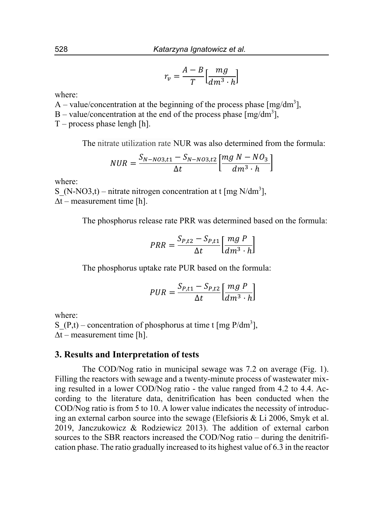$$
r_v = \frac{A - B}{T} \left[ \frac{mg}{dm^3 \cdot h} \right]
$$

where:

A – value/concentration at the beginning of the process phase  $[mg/dm<sup>3</sup>]$ ,

B – value/concentration at the end of the process phase  $[mg/dm<sup>3</sup>]$ ,

 $T$  – process phase lengh [h].

The nitrate utilization rate NUR was also determined from the formula:

$$
NUR = \frac{S_{N-NO3,t1} - S_{N-NO3,t2}}{\Delta t} \left[ \frac{mg N - NO_3}{dm^3 \cdot h} \right]
$$

where:

S (N-NO3,t) – nitrate nitrogen concentration at t [mg N/dm<sup>3</sup>], ∆t – measurement time [h].

The phosphorus release rate PRR was determined based on the formula:

$$
PRR = \frac{S_{P,t2} - S_{P,t1}}{\Delta t} \left[ \frac{mg \ P}{dm^3 \cdot h} \right]
$$

The phosphorus uptake rate PUR based on the formula:

$$
PUR = \frac{S_{P,t1} - S_{P,t2}}{\Delta t} \left[ \frac{mg \ P}{dm^3 \cdot h} \right]
$$

where:

S (P,t) – concentration of phosphorus at time t [mg P/dm<sup>3</sup>],  $\Delta t$  – measurement time [h].

## **3. Results and Interpretation of tests**

The COD/Nog ratio in municipal sewage was 7.2 on average (Fig. 1). Filling the reactors with sewage and a twenty-minute process of wastewater mixing resulted in a lower COD/Nog ratio - the value ranged from 4.2 to 4.4. According to the literature data, denitrification has been conducted when the COD/Nog ratio is from 5 to 10. A lower value indicates the necessity of introducing an external carbon source into the sewage (Elefsioris & Li 2006, Smyk et al. 2019, Janczukowicz & Rodziewicz 2013). The addition of external carbon sources to the SBR reactors increased the COD/Nog ratio – during the denitrification phase. The ratio gradually increased to its highest value of 6.3 in the reactor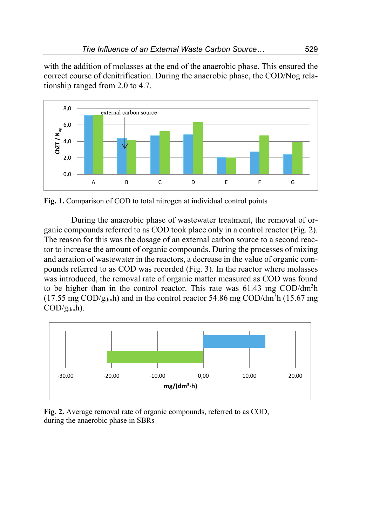with the addition of molasses at the end of the anaerobic phase. This ensured the correct course of denitrification. During the anaerobic phase, the COD/Nog relationship ranged from 2.0 to 4.7.



**Fig. 1.** Comparison of COD to total nitrogen at individual control points

During the anaerobic phase of wastewater treatment, the removal of organic compounds referred to as COD took place only in a control reactor (Fig. 2). The reason for this was the dosage of an external carbon source to a second reactor to increase the amount of organic compounds. During the processes of mixing and aeration of wastewater in the reactors, a decrease in the value of organic compounds referred to as COD was recorded (Fig. 3). In the reactor where molasses was introduced, the removal rate of organic matter measured as COD was found to be higher than in the control reactor. This rate was  $61.43 \text{ mg } COD/dm^3h$ (17.55 mg COD/g<sub>dm</sub>h) and in the control reactor 54.86 mg COD/dm<sup>3</sup>h (15.67 mg  $\text{COD/g}_{\text{dm}}$ h).



**Fig. 2.** Average removal rate of organic compounds, referred to as COD, during the anaerobic phase in SBRs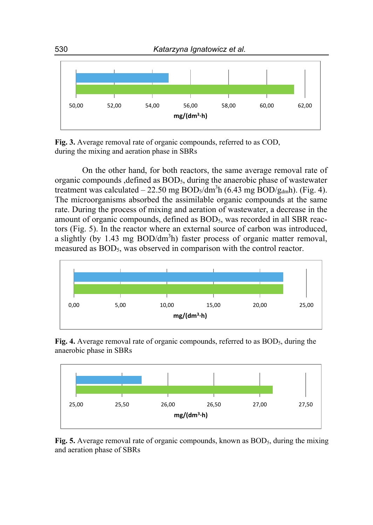

**Fig. 3.** Average removal rate of organic compounds, referred to as COD, during the mixing and aeration phase in SBRs

On the other hand, for both reactors, the same average removal rate of organic compounds ,defined as BOD5, during the anaerobic phase of wastewater treatment was calculated  $-22.50$  mg BOD<sub>5</sub>/dm<sup>3</sup>h (6.43 mg BOD/g<sub>dm</sub>h). (Fig. 4). The microorganisms absorbed the assimilable organic compounds at the same rate. During the process of mixing and aeration of wastewater, a decrease in the amount of organic compounds, defined as BOD<sub>5</sub>, was recorded in all SBR reactors (Fig. 5). In the reactor where an external source of carbon was introduced, a slightly (by 1.43 mg  $BOD/dm<sup>3</sup>h$ ) faster process of organic matter removal, measured as BOD<sub>5</sub>, was observed in comparison with the control reactor.



**Fig. 4.** Average removal rate of organic compounds, referred to as BOD<sub>5</sub>, during the anaerobic phase in SBRs



**Fig. 5.** Average removal rate of organic compounds, known as BOD<sub>5</sub>, during the mixing and aeration phase of SBRs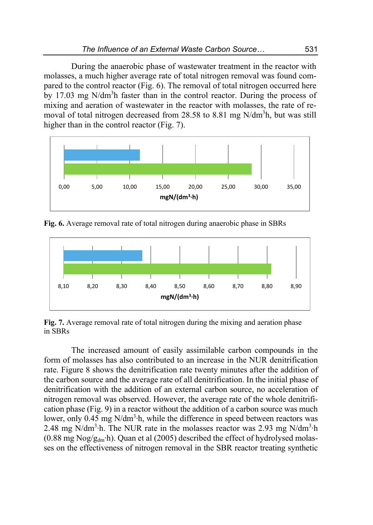During the anaerobic phase of wastewater treatment in the reactor with molasses, a much higher average rate of total nitrogen removal was found compared to the control reactor (Fig. 6). The removal of total nitrogen occurred here by 17.03 mg N/dm<sup>3</sup>h faster than in the control reactor. During the process of mixing and aeration of wastewater in the reactor with molasses, the rate of removal of total nitrogen decreased from 28.58 to 8.81 mg N/dm<sup>3</sup>h, but was still higher than in the control reactor (Fig. 7).



**Fig. 6.** Average removal rate of total nitrogen during anaerobic phase in SBRs



**Fig. 7.** Average removal rate of total nitrogen during the mixing and aeration phase in SBRs

The increased amount of easily assimilable carbon compounds in the form of molasses has also contributed to an increase in the NUR denitrification rate. Figure 8 shows the denitrification rate twenty minutes after the addition of the carbon source and the average rate of all denitrification. In the initial phase of denitrification with the addition of an external carbon source, no acceleration of nitrogen removal was observed. However, the average rate of the whole denitrification phase (Fig. 9) in a reactor without the addition of a carbon source was much lower, only 0.45 mg N/dm<sup>3</sup>⋅h, while the difference in speed between reactors was 2.48 mg N/dm<sup>3</sup>⋅h. The NUR rate in the molasses reactor was 2.93 mg N/dm<sup>3</sup>⋅h (0.88 mg Nog/g<sub>dm</sub>⋅h). Quan et al (2005) described the effect of hydrolysed molasses on the effectiveness of nitrogen removal in the SBR reactor treating synthetic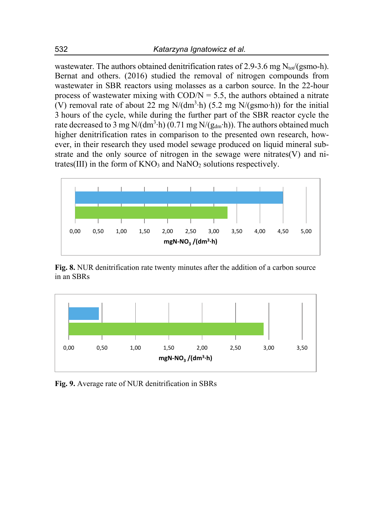wastewater. The authors obtained denitrification rates of 2.9-3.6 mg  $N_{\text{tot}}/(g\text{smo-h})$ . Bernat and others. (2016) studied the removal of nitrogen compounds from wastewater in SBR reactors using molasses as a carbon source. In the 22-hour process of wastewater mixing with  $\text{COD/N} = 5.5$ , the authors obtained a nitrate (V) removal rate of about 22 mg N/(dm<sup>3</sup>⋅h) (5.2 mg N/(gsmo⋅h)) for the initial 3 hours of the cycle, while during the further part of the SBR reactor cycle the rate decreased to 3 mg N/(dm<sup>3</sup>⋅h) (0.71 mg N/(g<sub>dm</sub>⋅h)). The authors obtained much higher denitrification rates in comparison to the presented own research, however, in their research they used model sewage produced on liquid mineral substrate and the only source of nitrogen in the sewage were nitrates(V) and nitrates(III) in the form of  $KNO_3$  and  $NaNO_2$  solutions respectively.



**Fig. 8.** NUR denitrification rate twenty minutes after the addition of a carbon source in an SBRs



**Fig. 9.** Average rate of NUR denitrification in SBRs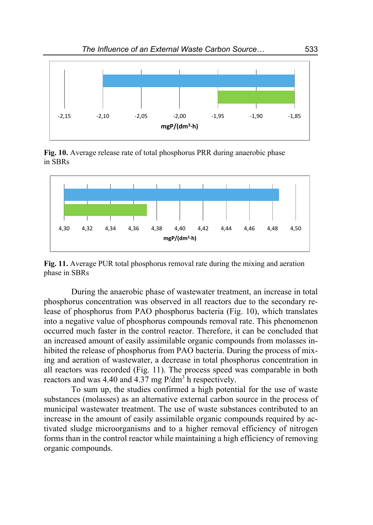

**Fig. 10.** Average release rate of total phosphorus PRR during anaerobic phase in SBRs



**Fig. 11.** Average PUR total phosphorus removal rate during the mixing and aeration phase in SBRs

During the anaerobic phase of wastewater treatment, an increase in total phosphorus concentration was observed in all reactors due to the secondary release of phosphorus from PAO phosphorus bacteria (Fig. 10), which translates into a negative value of phosphorus compounds removal rate. This phenomenon occurred much faster in the control reactor. Therefore, it can be concluded that an increased amount of easily assimilable organic compounds from molasses inhibited the release of phosphorus from PAO bacteria. During the process of mixing and aeration of wastewater, a decrease in total phosphorus concentration in all reactors was recorded (Fig. 11). The process speed was comparable in both reactors and was 4.40 and 4.37 mg  $P/dm<sup>3</sup>$  h respectively.

To sum up, the studies confirmed a high potential for the use of waste substances (molasses) as an alternative external carbon source in the process of municipal wastewater treatment. The use of waste substances contributed to an increase in the amount of easily assimilable organic compounds required by activated sludge microorganisms and to a higher removal efficiency of nitrogen forms than in the control reactor while maintaining a high efficiency of removing organic compounds.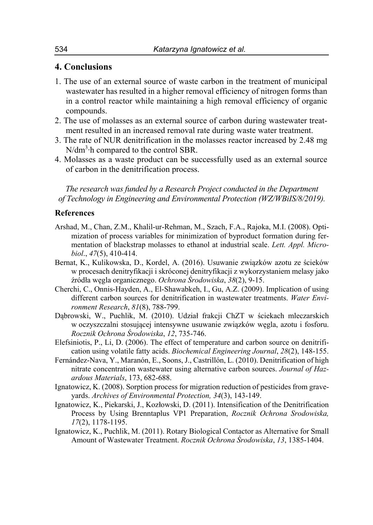## **4. Conclusions**

- 1. The use of an external source of waste carbon in the treatment of municipal wastewater has resulted in a higher removal efficiency of nitrogen forms than in a control reactor while maintaining a high removal efficiency of organic compounds.
- 2. The use of molasses as an external source of carbon during wastewater treatment resulted in an increased removal rate during waste water treatment.
- 3. The rate of NUR denitrification in the molasses reactor increased by 2.48 mg  $N/dm<sup>3</sup>$  h compared to the control SBR.
- 4. Molasses as a waste product can be successfully used as an external source of carbon in the denitrification process.

*The research was funded by a Research Project conducted in the Department of Technology in Engineering and Environmental Protection (WZ/WBiIS/8/2019).* 

### **References**

- Arshad, M., Chan, Z.M., Khalil-ur-Rehman, M., Szach, F.A., Rajoka, M.I. (2008). Optimization of process variables for minimization of byproduct formation during fermentation of blackstrap molasses to ethanol at industrial scale. *Lett. Appl. Microbiol*., *47*(5), 410-414.
- Bernat, K., Kulikowska, D., Kordel, A. (2016). Usuwanie związków azotu ze ścieków w procesach denitryfikacji i skróconej denitryfikacji z wykorzystaniem melasy jako źródła węgla organicznego. *Ochrona Środowiska*, *38*(2), 9-15.
- Cherchi, C., Onnis-Hayden, A., El-Shawabkeh, I., Gu, A.Z. (2009). Implication of using different carbon sources for denitrification in wastewater treatments. *Water Environment Research*, *81*(8), 788-799.
- Dąbrowski, W., Puchlik, M. (2010). Udział frakcji ChZT w ściekach mleczarskich w oczyszczalni stosującej intensywne usuwanie związków węgla, azotu i fosforu. *Rocznik Ochrona Środowiska*, *12*, 735-746.
- Elefsiniotis, P., Li, D. (2006). The effect of temperature and carbon source on denitrification using volatile fatty acids. *Biochemical Engineering Journal*, *28*(2), 148-155.
- Fernández-Nava, Y., Maranón, E., Soons, J., Castrillón, L. (2010). Denitrification of high nitrate concentration wastewater using alternative carbon sources. *Journal of Hazardous Materials*, 173, 682-688.
- Ignatowicz, K. (2008). Sorption process for migration reduction of pesticides from graveyards. *Archives of Environmental Protection, 34*(3), 143-149.
- Ignatowicz, K., Piekarski, J., Kozłowski, D. (2011). Intensification of the Denitrification Process by Using Brenntaplus VP1 Preparation, *Rocznik Ochrona Srodowiska, 17*(2), 1178-1195.
- Ignatowicz, K., Puchlik, M. (2011). Rotary Biological Contactor as Alternative for Small Amount of Wastewater Treatment. *Rocznik Ochrona Środowiska*, *13*, 1385-1404.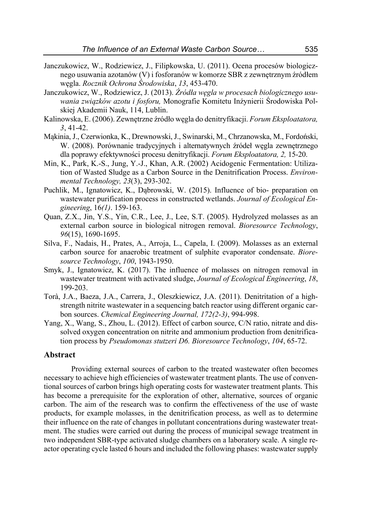- Janczukowicz, W., Rodziewicz, J., Filipkowska, U. (2011). Ocena procesów biologicznego usuwania azotanów (V) i fosforanów w komorze SBR z zewnętrznym źródłem węgla. *Rocznik Ochrona Środowiska*, *13*, 453-470.
- Janczukowicz, W., Rodziewicz, J. (2013). *Źródła węgla w procesach biologicznego usuwania związków azotu i fosforu,* Monografie Komitetu Inżynierii Środowiska Polskiej Akademii Nauk, 114, Lublin.
- Kalinowska, E. (2006). Zewnętrzne źródło węgla do denitryfikacji. *Forum Eksploatatora, 3*, 41-42.
- Mąkinia, J., Czerwionka, K., Drewnowski, J., Swinarski, M., Chrzanowska, M., Fordoński, W. (2008). Porównanie tradycyjnych i alternatywnych źródeł węgla zewnętrznego dla poprawy efektywności procesu denitryfikacji. *Forum Eksploatatora, 2,* 15-20.
- Min, K., Park, K.-S., Jung, Y.-J., Khan, A.R. (2002) Acidogenic Fermentation: Utilization of Wasted Sludge as a Carbon Source in the Denitrification Process. *Environmental Technology, 23*(3), 293-302.
- Puchlik, M., Ignatowicz, K., Dąbrowski, W. (2015). Influence of bio- preparation on wastewater purification process in constructed wetlands. *Journal of Ecological Engineering*, 16*(1)*. 159-163.
- Quan, Z.X., Jin, Y.S., Yin, C.R., Lee, J., Lee, S.T. (2005). Hydrolyzed molasses as an external carbon source in biological nitrogen removal. *Bioresource Technology*, *96*(15), 1690-1695.
- Silva, F., Nadais, H., Prates, A., Arroja, L., Capela, I. (2009). Molasses as an external carbon source for anaerobic treatment of sulphite evaporator condensate. *Bioresource Technology*, *100*, 1943-1950.
- Smyk, J., Ignatowicz, K. (2017). The influence of molasses on nitrogen removal in wastewater treatment with activated sludge, *Journal of Ecological Engineering*, *18*, 199-203.
- Torà, J.A., Baeza, J.A., Carrera, J., Oleszkiewicz, J.A. (2011). Denitritation of a highstrength nitrite wastewater in a sequencing batch reactor using different organic carbon sources. *Chemical Engineering Journal, 172(2-3)*, 994-998.
- Yang, X., Wang, S., Zhou, L. (2012). Effect of carbon source, C/N ratio, nitrate and dissolved oxygen concentration on nitrite and ammonium production from denitrification process by *Pseudomonas stutzeri D6. Bioresource Technology*, *104*, 65-72.

## **Abstract**

Providing external sources of carbon to the treated wastewater often becomes necessary to achieve high efficiencies of wastewater treatment plants. The use of conventional sources of carbon brings high operating costs for wastewater treatment plants. This has become a prerequisite for the exploration of other, alternative, sources of organic carbon. The aim of the research was to confirm the effectiveness of the use of waste products, for example molasses, in the denitrification process, as well as to determine their influence on the rate of changes in pollutant concentrations during wastewater treatment. The studies were carried out during the process of municipal sewage treatment in two independent SBR-type activated sludge chambers on a laboratory scale. A single reactor operating cycle lasted 6 hours and included the following phases: wastewater supply